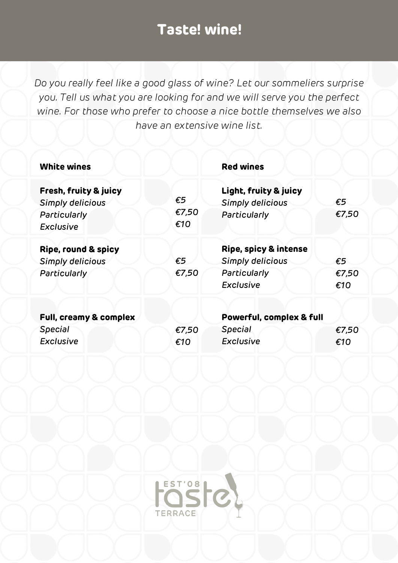*Do you really feel like a good glass of wine? Let our sommeliers surprise you. Tell us what you are looking for and we will serve you the perfect wine. For those who prefer to choose a nice bottle themselves we also have an extensive wine list.*

| <b>White wines</b>                                                            |                       | <b>Red wines</b>                                                              |                              |  |
|-------------------------------------------------------------------------------|-----------------------|-------------------------------------------------------------------------------|------------------------------|--|
| Fresh, fruity & juicy<br>Simply delicious<br>Particularly<br><b>Exclusive</b> | €5<br>€7,50<br>€10    | Light, fruity & juicy<br>Simply delicious<br>Particularly                     | €5<br>€7,50                  |  |
| Ripe, round & spicy<br>Simply delicious<br>Particularly                       | $\epsilon$ 5<br>€7,50 | Ripe, spicy & intense<br>Simply delicious<br>Particularly<br><b>Exclusive</b> | $\epsilon$ 5<br>€7,50<br>€10 |  |
| Full, creamy & complex<br><b>Special</b><br><b>Exclusive</b>                  | €7,50<br>€10          | Powerful, complex & full<br><b>Special</b><br><b>Exclusive</b>                | €7,50<br>€10                 |  |

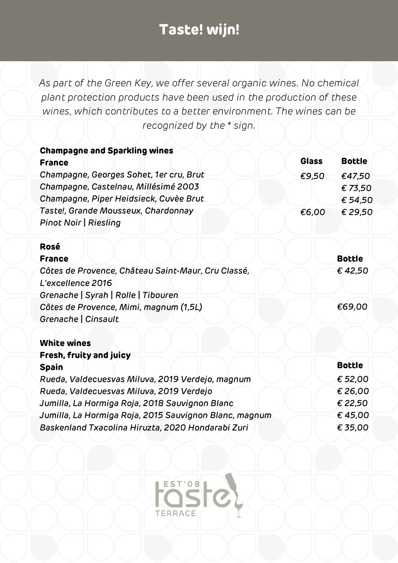| <b>Champagne and Sparkling wines</b>                   |              |               |
|--------------------------------------------------------|--------------|---------------|
| <b>France</b>                                          | <b>Glass</b> | <b>Bottle</b> |
| Champagne, Georges Sohet, 1er cru, Brut                | €9,50        | €47,50        |
| Champagne, Castelnau, Millésimé 2003                   |              | €73,50        |
| Champagne, Piper Heidsieck, Cuvèe Brut                 |              | € 54,50       |
| Taste!, Grande Mousseux, Chardonnay                    | €6,00        | € 29,50       |
| <b>Pinot Noir   Riesling</b>                           |              |               |
| Rosé                                                   |              |               |
| <b>France</b>                                          |              | <b>Bottle</b> |
| Côtes de Provence, Château Saint-Maur, Cru Classé,     |              | €42,50        |
| L'excellence 2016                                      |              |               |
| Grenache   Syrah   Rolle   Tibouren                    |              |               |
| Côtes de Provence, Mimi, magnum (1,5L)                 |              | €69,00        |
| Grenache   Cinsault                                    |              |               |
| <b>White wines</b>                                     |              |               |
| Fresh, fruity and juicy                                |              |               |
| <b>Spain</b>                                           |              | <b>Bottle</b> |
| Rueda, Valdecuesvas Miluva, 2019 Verdejo, magnum       |              | € 52,00       |
| Rueda, Valdecuesvas Miluva, 2019 Verdejo               |              | € 26,00       |
| Jumilla, La Hormiga Roja, 2018 Sauvignon Blanc         |              | € 22,50       |
| Jumilla, La Hormiga Roja, 2015 Sauvignon Blanc, magnum |              | €45,00        |
| Baskenland Txacolina Hiruzta, 2020 Hondarabi Zuri      |              | € 35,00       |

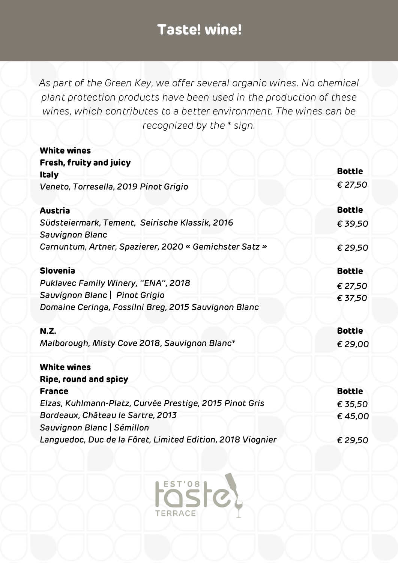*As part of the Green Key, we offer several organic wines. No chemical plant protection products have been used in the production of these wines, which contributes to a better environment. The wines can be recognized by the \* sign.*

| <b>White wines</b>                                                       |               |
|--------------------------------------------------------------------------|---------------|
| Fresh, fruity and juicy                                                  |               |
| <b>Italy</b>                                                             | <b>Bottle</b> |
| Veneto, Torresella, 2019 Pinot Grigio                                    | € 27,50       |
| <b>Austria</b>                                                           | <b>Bottle</b> |
| Südsteiermark, Tement, Seirische Klassik, 2016<br><b>Sauvignon Blanc</b> | € 39,50       |
| Carnuntum, Artner, Spazierer, 2020 « Gemichster Satz »                   | € 29,50       |
| <b>Slovenia</b>                                                          | <b>Bottle</b> |
| Puklavec Family Winery, "ENA", 2018                                      | € 27,50       |
| Sauvignon Blanc   Pinot Grigio                                           | € 37,50       |
| Domaine Ceringa, Fossilni Breg, 2015 Sauvignon Blanc                     |               |
| <b>N.Z.</b>                                                              | <b>Bottle</b> |
| Malborough, Misty Cove 2018, Sauvignon Blanc*                            | € 29,00       |
| <b>White wines</b>                                                       |               |
| Ripe, round and spicy                                                    |               |
| <b>France</b>                                                            | <b>Bottle</b> |
| Elzas, Kuhlmann-Platz, Curvée Prestige, 2015 Pinot Gris                  | € 35,50       |
| Bordeaux, Château le Sartre, 2013                                        | €45,00        |
| Sauvignon Blanc   Sémillon                                               |               |
| Languedoc, Duc de la Fôret, Limited Edition, 2018 Viognier               | € 29,50       |
|                                                                          |               |

EST'08

**TERRACE**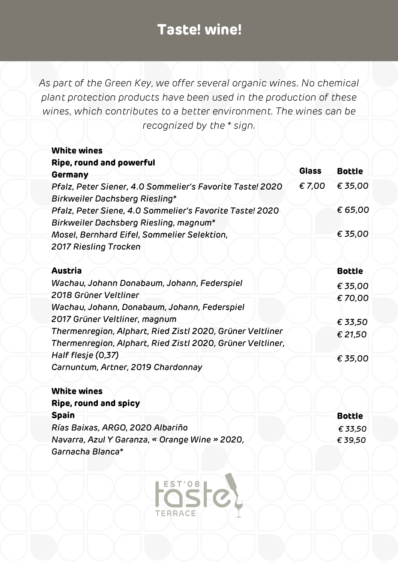*As part of the Green Key, we offer several organic wines. No chemical plant protection products have been used in the production of these wines, which contributes to a better environment. The wines can be recognized by the \* sign.*

| <b>White wines</b>                                         |              |               |
|------------------------------------------------------------|--------------|---------------|
| Ripe, round and powerful                                   |              |               |
| Germany                                                    | <b>Glass</b> | <b>Bottle</b> |
| Pfalz, Peter Siener, 4.0 Sommelier's Favorite Taste! 2020  | €7,00        | € 35,00       |
| Birkweiler Dachsberg Riesling*                             |              |               |
| Pfalz, Peter Siene, 4.0 Sommelier's Favorite Taste! 2020   |              | € 65,00       |
| Birkweiler Dachsberg Riesling, magnum*                     |              |               |
| Mosel, Bernhard Eifel, Sommelier Selektion,                |              | € 35,00       |
| 2017 Riesling Trocken                                      |              |               |
|                                                            |              |               |
| <b>Austria</b>                                             |              | <b>Bottle</b> |
| Wachau, Johann Donabaum, Johann, Federspiel                |              | € 35,00       |
| 2018 Grüner Veltliner                                      |              | €70,00        |
| Wachau, Johann, Donabaum, Johann, Federspiel               |              |               |
| 2017 Grüner Veltliner, magnum                              |              | € 33,50       |
| Thermenregion, Alphart, Ried Zistl 2020, Grüner Veltliner  |              | € 21,50       |
| Thermenregion, Alphart, Ried Zistl 2020, Grüner Veltliner, |              |               |
| Half flesje (0,37)                                         |              | € 35,00       |
| Carnuntum, Artner, 2019 Chardonnay                         |              |               |
|                                                            |              |               |
| <b>White wines</b>                                         |              |               |
| Ripe, round and spicy                                      |              |               |
| <b>Spain</b>                                               |              | <b>Bottle</b> |
| Rías Baixas, ARGO, 2020 Albariño                           |              | € 33,50       |

*€ 39,50*

*Navarra, Azul Y Garanza, « Orange Wine » 2020,*

EST'08

**TERRACE** 

*Garnacha Blanca\**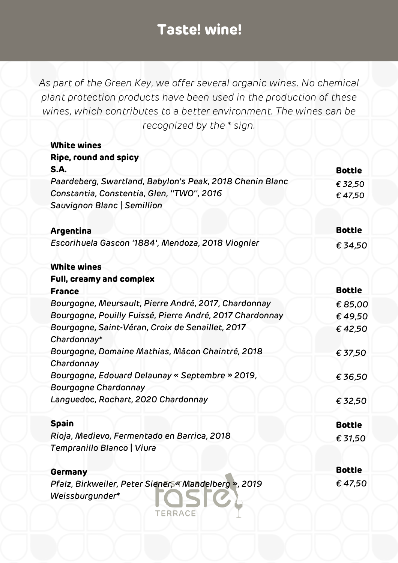| <b>White wines</b>                                              |               |
|-----------------------------------------------------------------|---------------|
| Ripe, round and spicy<br><b>S.A.</b>                            | <b>Bottle</b> |
| Paardeberg, Swartland, Babylon's Peak, 2018 Chenin Blanc        | € 32,50       |
| Constantia, Constentia, Glen, "TWO", 2016                       | €47,50        |
| Sauvignon Blanc   Semillion                                     |               |
| Argentina                                                       | <b>Bottle</b> |
| Escorihuela Gascon '1884', Mendoza, 2018 Viognier               | € 34,50       |
| <b>White wines</b>                                              |               |
| Full, creamy and complex                                        |               |
| <b>France</b>                                                   | <b>Bottle</b> |
| Bourgogne, Meursault, Pierre André, 2017, Chardonnay            | € 85,00       |
| Bourgogne, Pouilly Fuissé, Pierre André, 2017 Chardonnay        | €49,50        |
| Bourgogne, Saint-Véran, Croix de Senaillet, 2017<br>Chardonnay* | €42,50        |
| Bourgogne, Domaine Mathias, Mâcon Chaintré, 2018                | € 37,50       |
| Chardonnay                                                      |               |
| Bourgogne, Edouard Delaunay « Septembre » 2019,                 | € 36,50       |
| Bourgogne Chardonnay                                            |               |
| Languedoc, Rochart, 2020 Chardonnay                             | € 32,50       |
| <b>Spain</b>                                                    | <b>Bottle</b> |
| Rioja, Medievo, Fermentado en Barrica, 2018                     | € 31,50       |
| Tempranillo Blanco   Viura                                      |               |
| Germany                                                         | <b>Bottle</b> |
| Pfalz, Birkweiler, Peter Siener, «Mandelberg », 2019            | €47,50        |
| Weissburgunder*                                                 |               |
| <b>TERRACE</b>                                                  |               |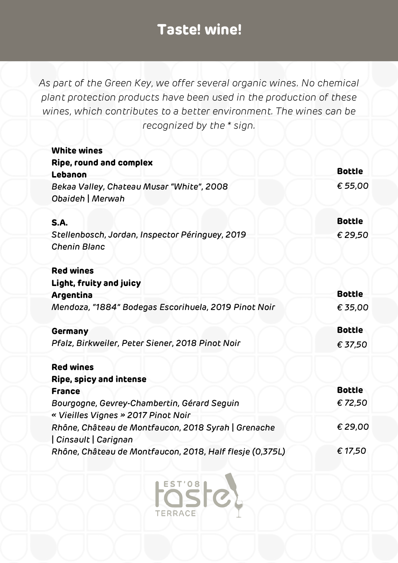| <b>White wines</b>                                                           |               |
|------------------------------------------------------------------------------|---------------|
| Ripe, round and complex                                                      |               |
| Lebanon                                                                      | <b>Bottle</b> |
| Bekaa Valley, Chateau Musar "White", 2008<br>Obaideh   Merwah                | € 55,00       |
| <b>S.A.</b>                                                                  | <b>Bottle</b> |
| Stellenbosch, Jordan, Inspector Péringuey, 2019<br><b>Chenin Blanc</b>       | € 29,50       |
| <b>Red wines</b>                                                             |               |
| Light, fruity and juicy                                                      |               |
| Argentina                                                                    | <b>Bottle</b> |
| Mendoza, "1884" Bodegas Escorihuela, 2019 Pinot Noir                         | € 35,00       |
| Germany                                                                      | <b>Bottle</b> |
| Pfalz, Birkweiler, Peter Siener, 2018 Pinot Noir                             | € 37,50       |
| <b>Red wines</b>                                                             |               |
| Ripe, spicy and intense                                                      |               |
| <b>France</b>                                                                | <b>Bottle</b> |
| Bourgogne, Gevrey-Chambertin, Gérard Seguin                                  | €72,50        |
| « Vieilles Vignes » 2017 Pinot Noir                                          |               |
| Rhône, Château de Montfaucon, 2018 Syrah   Grenache<br>  Cinsault   Carignan | €29,00        |
| Rhône, Château de Montfaucon, 2018, Half flesje (0,375L)                     | € 17,50       |

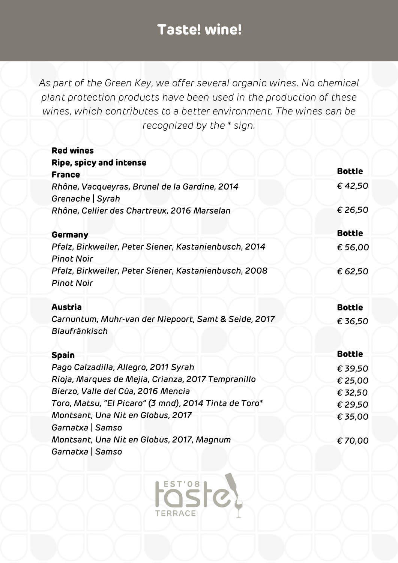*As part of the Green Key, we offer several organic wines. No chemical plant protection products have been used in the production of these wines, which contributes to a better environment. The wines can be recognized by the \* sign.*

| <b>Red wines</b>                                                           |               |
|----------------------------------------------------------------------------|---------------|
| Ripe, spicy and intense<br><b>France</b>                                   | <b>Bottle</b> |
| Rhône, Vacqueyras, Brunel de la Gardine, 2014<br>Grenache   Syrah          | €42,50        |
| Rhône, Cellier des Chartreux, 2016 Marselan                                | € 26,50       |
| Germany                                                                    | <b>Bottle</b> |
| Pfalz, Birkweiler, Peter Siener, Kastanienbusch, 2014<br><b>Pinot Noir</b> | € 56,00       |
| Pfalz, Birkweiler, Peter Siener, Kastanienbusch, 2008<br><b>Pinot Noir</b> | € 62,50       |
| <b>Austria</b>                                                             | <b>Bottle</b> |
| Carnuntum, Muhr-van der Niepoort, Samt & Seide, 2017                       | € 36,50       |
| Blaufränkisch                                                              |               |
| <b>Spain</b>                                                               | <b>Bottle</b> |
| Pago Calzadilla, Allegro, 2011 Syrah                                       | € 39,50       |
| Rioja, Marques de Mejia, Crianza, 2017 Tempranillo                         | € 25,00       |
| Bierzo, Valle del Cúa, 2016 Mencia                                         | € 32,50       |
| Toro, Matsu, "El Picaro" (3 mnd), 2014 Tinta de Toro*                      | € 29,50       |
| Montsant, Una Nit en Globus, 2017<br>Garnatxa   Samso                      | € 35,00       |
| Montsant, Una Nit en Globus, 2017, Magnum<br>Garnatxa   Samso              | €70,00        |

EST'08

**TERRACE**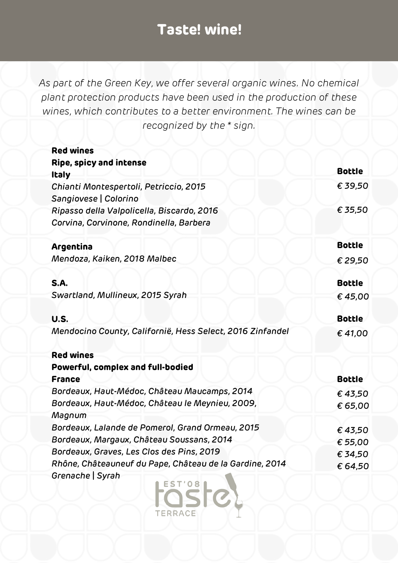*As part of the Green Key, we offer several organic wines. No chemical plant protection products have been used in the production of these wines, which contributes to a better environment. The wines can be recognized by the \* sign.*

| <b>Red wines</b>                                                |               |
|-----------------------------------------------------------------|---------------|
| <b>Ripe, spicy and intense</b>                                  | <b>Bottle</b> |
| <b>Italy</b>                                                    |               |
| Chianti Montespertoli, Petriccio, 2015<br>Sangiovese   Colorino | € 39,50       |
| Ripasso della Valpolicella, Biscardo, 2016                      | € 35,50       |
| Corvina, Corvinone, Rondinella, Barbera                         |               |
| Argentina                                                       | <b>Bottle</b> |
| Mendoza, Kaiken, 2018 Malbec                                    | € 29,50       |
| <b>S.A.</b>                                                     | <b>Bottle</b> |
| Swartland, Mullineux, 2015 Syrah                                | €45,00        |
| <b>U.S.</b>                                                     | <b>Bottle</b> |
|                                                                 |               |
| Mendocino County, Californië, Hess Select, 2016 Zinfandel       | €41,00        |
| <b>Red wines</b>                                                |               |
| Powerful, complex and full-bodied                               |               |
| <b>France</b>                                                   | <b>Bottle</b> |
| Bordeaux, Haut-Médoc, Château Maucamps, 2014                    | €43,50        |
| Bordeaux, Haut-Médoc, Château le Meynieu, 2009,                 | € 65,00       |
| Magnum                                                          |               |
| Bordeaux, Lalande de Pomerol, Grand Ormeau, 2015                | €43,50        |
| Bordeaux, Margaux, Château Soussans, 2014                       | € 55,00       |
| Bordeaux, Graves, Les Clos des Pins, 2019                       | € 34,50       |
| Rhône, Châteauneuf du Pape, Château de la Gardine, 2014         | € 64,50       |
| Grenache   Syrah<br><b>OSIC</b><br><b>TERRACE</b>               |               |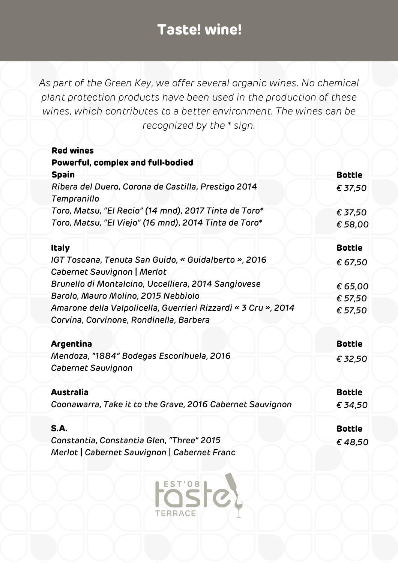| <b>Red wines</b>                                                   |               |
|--------------------------------------------------------------------|---------------|
| Powerful, complex and full-bodied                                  |               |
| <b>Spain</b>                                                       | <b>Bottle</b> |
| Ribera del Duero, Corona de Castilla, Prestigo 2014<br>Tempranillo | € 37,50       |
| Toro, Matsu, "El Recio" (14 mnd), 2017 Tinta de Toro*              | € 37,50       |
| Toro, Matsu, "El Viejo" (16 mnd), 2014 Tinta de Toro*              | € 58,00       |
| <b>Italy</b>                                                       | <b>Bottle</b> |
| IGT Toscana, Tenuta San Guido, « Guidalberto », 2016               | € 67,50       |
| Cabernet Sauvignon   Merlot                                        |               |
| Brunello di Montalcino, Uccelliera, 2014 Sangiovese                | € 65,00       |
| Barolo, Mauro Molino, 2015 Nebbiolo                                | € 57,50       |
| Amarone della Valpolicella, Guerrieri Rizzardi « 3 Cru », 2014     | € 57,50       |
| Corvina, Corvinone, Rondinella, Barbera                            |               |
|                                                                    |               |
| Argentina                                                          | <b>Bottle</b> |
| Mendoza, "1884" Bodegas Escorihuela, 2016                          | € 32,50       |
| Cabernet Sauvignon                                                 |               |
| <b>Australia</b>                                                   | <b>Bottle</b> |
| Coonawarra, Take it to the Grave, 2016 Cabernet Sauvignon          | € 34,50       |
| <b>S.A.</b>                                                        | <b>Bottle</b> |
| Constantia, Constantia Glen, "Three" 2015                          | €48,50        |
| Merlot   Cabernet Sauvignon   Cabernet Franc                       |               |